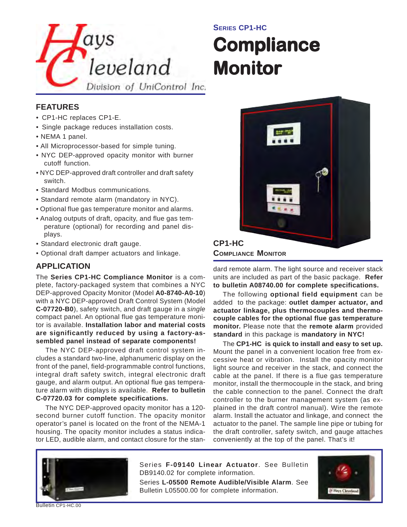

### **SERIES CP1-HC**

# **Compliance Monitor Monitor**

#### **FEATURES**

- CP1-HC replaces CP1-E.
- Single package reduces installation costs.
- NEMA 1 panel.
- All Microprocessor-based for simple tuning.
- NYC DEP-approved opacity monitor with burner cutoff function.
- NYC DEP-approved draft controller and draft safety switch.
- Standard Modbus communications.
- Standard remote alarm (mandatory in NYC).
- Optional flue gas temperature monitor and alarms.
- Analog outputs of draft, opacity, and flue gas temperature (optional) for recording and panel displays.
- Standard electronic draft gauge.
- Optional draft damper actuators and linkage.

#### **APPLICATION**

The **Series CP1-HC Compliance Monitor** is a complete, factory-packaged system that combines a NYC DEP-approved Opacity Monitor (Model **A0-8740-A0-10**) with a NYC DEP-approved Draft Control System (Model **C-07720-B0**), safety switch, and draft gauge in a *single* compact panel. An optional flue gas temperature monitor is available. **Installation labor and material costs are significantly reduced by using a factory-assembled panel instead of separate components!**

The NYC DEP-approved draft control system includes a standard two-line, alphanumeric display on the front of the panel, field-programmable control functions, integral draft safety switch, integral electronic draft gauge, and alarm output. An optional flue gas temperature alarm with displays is available. **Refer to bulletin C-07720.03 for complete specifications.**

The NYC DEP-approved opacity monitor has a 120 second burner cutoff function. The opacity monitor operator's panel is located on the front of the NEMA-1 housing. The opacity monitor includes a status indicator LED, audible alarm, and contact closure for the stan-



dard remote alarm. The light source and receiver stack units are included as part of the basic package. **Refer to bulletin A08740.00 for complete specifications.**

The following **optional field equipment** can be added to the package: **outlet damper actuator, and actuator linkage, plus thermocouples and thermocouple cables for the optional flue gas temperature monitor.** Please note that the **remote alarm** provided **standard** in this package is **mandatory in NYC!**

The **CP1-HC is quick to install and easy to set up.** Mount the panel in a convenient location free from excessive heat or vibration. Install the opacity monitor light source and receiver in the stack, and connect the cable at the panel. If there is a flue gas temperature monitor, install the thermocouple in the stack, and bring the cable connection to the panel. Connect the draft controller to the burner management system (as explained in the draft control manual). Wire the remote alarm. Install the actuator and linkage, and connect the actuator to the panel. The sample line pipe or tubing for the draft controller, safety switch, and gauge attaches conveniently at the top of the panel. That's it!



Series **F-09140 Linear Actuator**. See Bulletin DB9140.02 for complete information.

Series **L-05500 Remote Audible/Visible Alarm**. See Bulletin L05500.00 for complete information.